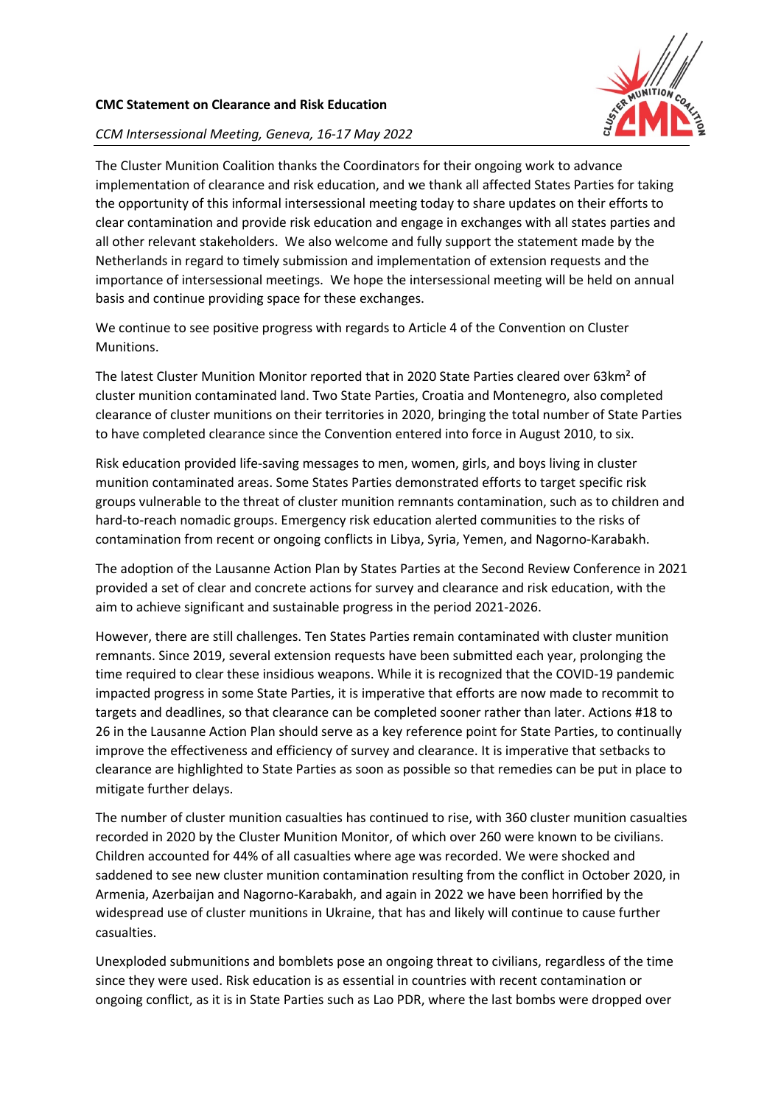

## **CMC Statement on Clearance and Risk Education**

## *CCM Intersessional Meeting, Geneva, 16-17 May 2022*

The Cluster Munition Coalition thanks the Coordinators for their ongoing work to advance implementation of clearance and risk education, and we thank all affected States Parties for taking the opportunity of this informal intersessional meeting today to share updates on their efforts to clear contamination and provide risk education and engage in exchanges with all states parties and all other relevant stakeholders. We also welcome and fully support the statement made by the Netherlands in regard to timely submission and implementation of extension requests and the importance of intersessional meetings. We hope the intersessional meeting will be held on annual basis and continue providing space for these exchanges.

We continue to see positive progress with regards to Article 4 of the Convention on Cluster Munitions.

The latest Cluster Munition Monitor reported that in 2020 State Parties cleared over 63km² of cluster munition contaminated land. Two State Parties, Croatia and Montenegro, also completed clearance of cluster munitions on their territories in 2020, bringing the total number of State Parties to have completed clearance since the Convention entered into force in August 2010, to six.

Risk education provided life-saving messages to men, women, girls, and boys living in cluster munition contaminated areas. Some States Parties demonstrated efforts to target specific risk groups vulnerable to the threat of cluster munition remnants contamination, such as to children and hard-to-reach nomadic groups. Emergency risk education alerted communities to the risks of contamination from recent or ongoing conflicts in Libya, Syria, Yemen, and Nagorno-Karabakh.

The adoption of the Lausanne Action Plan by States Parties at the Second Review Conference in 2021 provided a set of clear and concrete actions for survey and clearance and risk education, with the aim to achieve significant and sustainable progress in the period 2021-2026.

However, there are still challenges. Ten States Parties remain contaminated with cluster munition remnants. Since 2019, several extension requests have been submitted each year, prolonging the time required to clear these insidious weapons. While it is recognized that the COVID-19 pandemic impacted progress in some State Parties, it is imperative that efforts are now made to recommit to targets and deadlines, so that clearance can be completed sooner rather than later. Actions #18 to 26 in the Lausanne Action Plan should serve as a key reference point for State Parties, to continually improve the effectiveness and efficiency of survey and clearance. It is imperative that setbacks to clearance are highlighted to State Parties as soon as possible so that remedies can be put in place to mitigate further delays.

The number of cluster munition casualties has continued to rise, with 360 cluster munition casualties recorded in 2020 by the Cluster Munition Monitor, of which over 260 were known to be civilians. Children accounted for 44% of all casualties where age was recorded. We were shocked and saddened to see new cluster munition contamination resulting from the conflict in October 2020, in Armenia, Azerbaijan and Nagorno-Karabakh, and again in 2022 we have been horrified by the widespread use of cluster munitions in Ukraine, that has and likely will continue to cause further casualties.

Unexploded submunitions and bomblets pose an ongoing threat to civilians, regardless of the time since they were used. Risk education is as essential in countries with recent contamination or ongoing conflict, as it is in State Parties such as Lao PDR, where the last bombs were dropped over